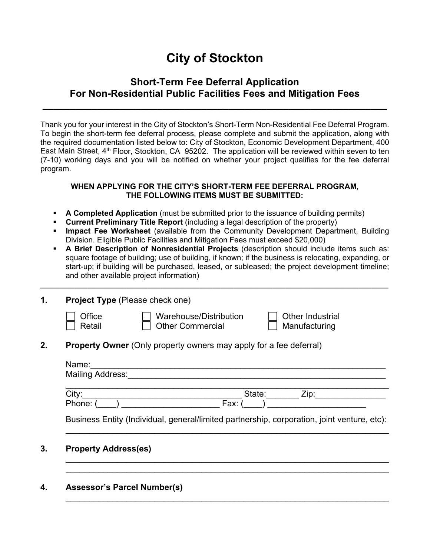# **City of Stockton**

## **Short-Term Fee Deferral Application For Non-Residential Public Facilities Fees and Mitigation Fees**

**\_\_\_\_\_\_\_\_\_\_\_\_\_\_\_\_\_\_\_\_\_\_\_\_\_\_\_\_\_\_\_\_\_\_\_\_\_\_\_\_\_\_\_\_\_\_\_\_\_\_\_\_\_\_\_\_\_\_\_\_\_\_\_**

Thank you for your interest in the City of Stockton's Short-Term Non-Residential Fee Deferral Program. To begin the short-term fee deferral process, please complete and submit the application, along with the required documentation listed below to: City of Stockton, Economic Development Department, 400 East Main Street, 4<sup>th</sup> Floor, Stockton, CA 95202. The application will be reviewed within seven to ten (7-10) working days and you will be notified on whether your project qualifies for the fee deferral program.

#### **WHEN APPLYING FOR THE CITY'S SHORT-TERM FEE DEFERRAL PROGRAM, THE FOLLOWING ITEMS MUST BE SUBMITTED:**

- **A Completed Application** (must be submitted prior to the issuance of building permits)
- **Current Preliminary Title Report** (including a legal description of the property)
- **Impact Fee Worksheet** (available from the Community Development Department, Building Division. Eligible Public Facilities and Mitigation Fees must exceed \$20,000)
- **A Brief Description of Nonresidential Projects** (description should include items such as: square footage of building; use of building, if known; if the business is relocating, expanding, or start-up; if building will be purchased, leased, or subleased; the project development timeline; and other available project information)

**\_\_\_\_\_\_\_\_\_\_\_\_\_\_\_\_\_\_\_\_\_\_\_\_\_\_\_\_\_\_\_\_\_\_\_\_\_\_\_\_\_\_\_\_\_\_\_\_\_\_\_\_\_\_\_\_\_\_\_\_\_\_\_\_\_\_\_\_\_\_\_\_\_\_\_\_\_\_\_\_\_** 

| <b>Project Type (Please check one)</b>                                                      |                                                   |                                   |  |  |
|---------------------------------------------------------------------------------------------|---------------------------------------------------|-----------------------------------|--|--|
| Office<br>Retail                                                                            | Warehouse/Distribution<br><b>Other Commercial</b> | Other Industrial<br>Manufacturing |  |  |
| <b>Property Owner</b> (Only property owners may apply for a fee deferral)                   |                                                   |                                   |  |  |
| Name:<br><b>Mailing Address:</b>                                                            |                                                   |                                   |  |  |
| City:                                                                                       | State:                                            | Zip:                              |  |  |
| Phone: (                                                                                    | Fax:                                              |                                   |  |  |
| Business Entity (Individual, general/limited partnership, corporation, joint venture, etc): |                                                   |                                   |  |  |
| <b>Property Address(es)</b>                                                                 |                                                   |                                   |  |  |
|                                                                                             |                                                   |                                   |  |  |

\_\_\_\_\_\_\_\_\_\_\_\_\_\_\_\_\_\_\_\_\_\_\_\_\_\_\_\_\_\_\_\_\_\_\_\_\_\_\_\_\_\_\_\_\_\_\_\_\_\_\_\_\_\_\_\_\_\_\_\_\_\_\_\_\_\_\_\_\_

#### **4. Assessor's Parcel Number(s)**